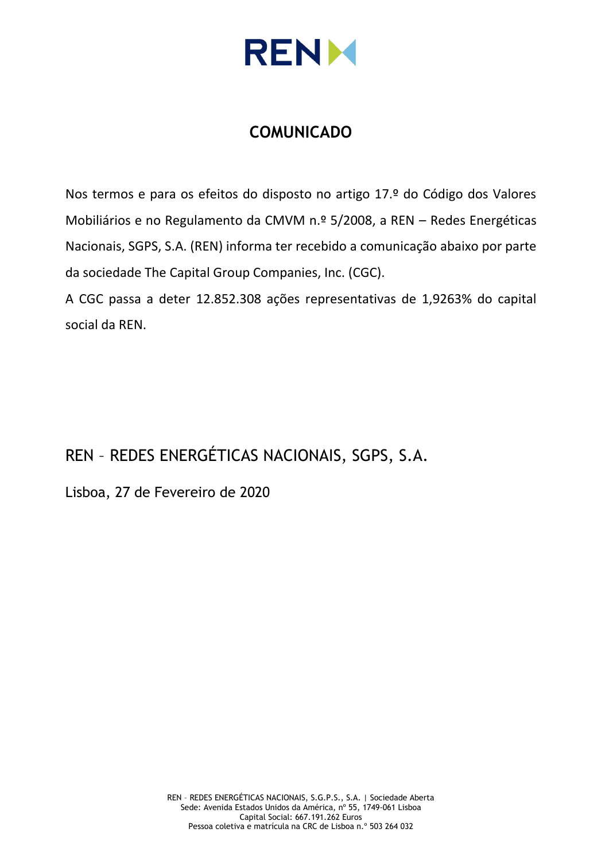

# **COMUNICADO**

Nos termos e para os efeitos do disposto no artigo 17.º do Código dos Valores Mobiliários e no Regulamento da CMVM n.º 5/2008, a REN – Redes Energéticas Nacionais, SGPS, S.A. (REN) informa ter recebido a comunicação abaixo por parte da sociedade The Capital Group Companies, Inc. (CGC).

A CGC passa a deter 12.852.308 ações representativas de 1,9263% do capital social da REN.

# REN – REDES ENERGÉTICAS NACIONAIS, SGPS, S.A.

Lisboa, 27 de Fevereiro de 2020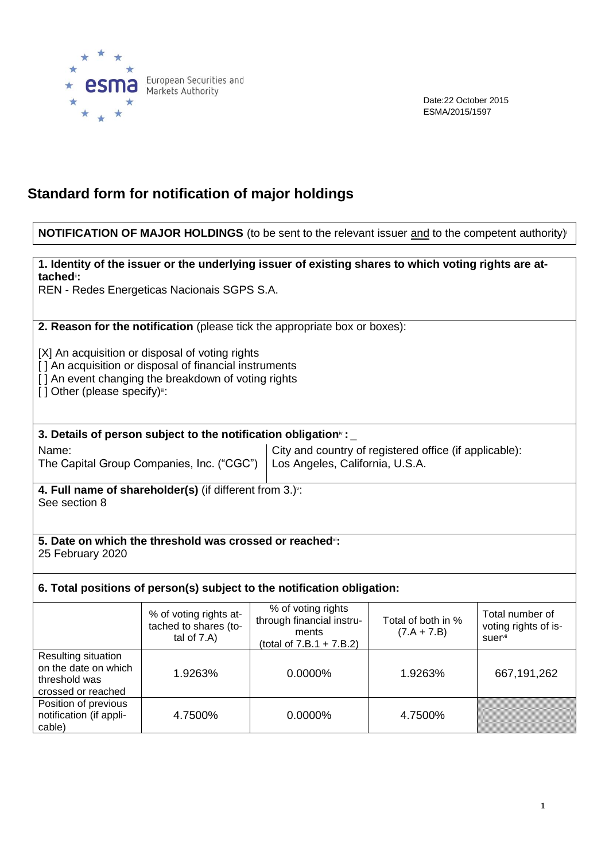

Date:22 October 2015 ESMA/2015/1597

# **Standard form for notification of major holdings**

### **NOTIFICATION OF MAJOR HOLDINGS** (to be sent to the relevant issuer and to the competent authority)<sup>i</sup>

#### **1. Identity of the issuer or the underlying issuer of existing shares to which voting rights are attached**ii**:**

REN - Redes Energeticas Nacionais SGPS S.A.

**2. Reason for the notification** (please tick the appropriate box or boxes):

[X] An acquisition or disposal of voting rights

[] An acquisition or disposal of financial instruments

[] An event changing the breakdown of voting rights

[] Other (please specify)":

#### **3. Details of person subject to the notification obligation**iv **:** \_

Name:

The Capital Group Companies, Inc. ("CGC")

City and country of registered office (if applicable): Los Angeles, California, U.S.A.

**4. Full name of shareholder(s)** (if different from 3.)<sup>v</sup> : See section 8

#### **5. Date on which the threshold was crossed or reached**vi**:** 25 February 2020

### **6. Total positions of person(s) subject to the notification obligation:**

|                                                                                    | % of voting rights at-<br>tached to shares (to-<br>tal of $7.A$ ) | % of voting rights<br>through financial instru-<br>ments<br>(total of $7.B.1 + 7.B.2$ ) | Total of both in %<br>$(7.A + 7.B)$ | Total number of<br>voting rights of is-<br>suer <sup>vii</sup> |
|------------------------------------------------------------------------------------|-------------------------------------------------------------------|-----------------------------------------------------------------------------------------|-------------------------------------|----------------------------------------------------------------|
| Resulting situation<br>on the date on which<br>threshold was<br>crossed or reached | 1.9263%                                                           | $0.0000\%$                                                                              | 1.9263%                             | 667, 191, 262                                                  |
| Position of previous<br>notification (if appli-<br>cable)                          | 4.7500%                                                           | 0.0000%                                                                                 | 4.7500%                             |                                                                |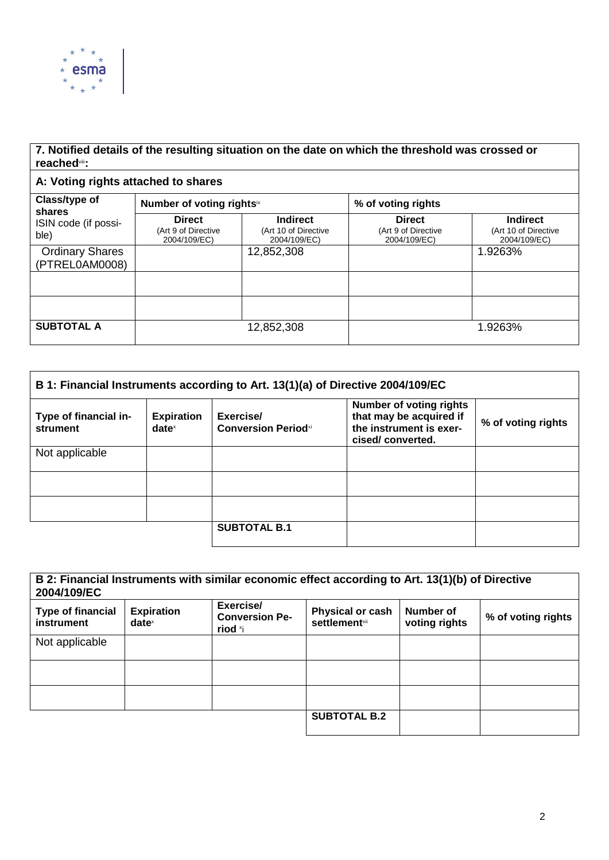

## **7. Notified details of the resulting situation on the date on which the threshold was crossed or reached**viii**:**

## **A: Voting rights attached to shares**

| Class/type of<br>shares<br>ISIN code (if possi-<br>ble) | Number of voting rightsix                            |                                                         | % of voting rights                                   |                                                         |
|---------------------------------------------------------|------------------------------------------------------|---------------------------------------------------------|------------------------------------------------------|---------------------------------------------------------|
|                                                         | <b>Direct</b><br>(Art 9 of Directive<br>2004/109/EC) | <b>Indirect</b><br>(Art 10 of Directive<br>2004/109/EC) | <b>Direct</b><br>(Art 9 of Directive<br>2004/109/EC) | <b>Indirect</b><br>(Art 10 of Directive<br>2004/109/EC) |
| <b>Ordinary Shares</b><br>(PTREL0AM0008)                |                                                      | 12,852,308                                              |                                                      | 1.9263%                                                 |
|                                                         |                                                      |                                                         |                                                      |                                                         |
|                                                         |                                                      |                                                         |                                                      |                                                         |
| <b>SUBTOTAL A</b>                                       |                                                      | 12,852,308                                              |                                                      | 1.9263%                                                 |

| B 1: Financial Instruments according to Art. 13(1)(a) of Directive 2004/109/EC |                               |                                         |                                                                                                          |                    |  |
|--------------------------------------------------------------------------------|-------------------------------|-----------------------------------------|----------------------------------------------------------------------------------------------------------|--------------------|--|
| Type of financial in-<br>strument                                              | <b>Expiration</b><br>$date^x$ | Exercise/<br><b>Conversion Periodxi</b> | <b>Number of voting rights</b><br>that may be acquired if<br>the instrument is exer-<br>cised/converted. | % of voting rights |  |
| Not applicable                                                                 |                               |                                         |                                                                                                          |                    |  |
|                                                                                |                               |                                         |                                                                                                          |                    |  |
|                                                                                |                               |                                         |                                                                                                          |                    |  |
|                                                                                |                               | <b>SUBTOTAL B.1</b>                     |                                                                                                          |                    |  |

| B 2: Financial Instruments with similar economic effect according to Art. 13(1)(b) of Directive<br>2004/109/EC |                               |                                                           |                                                  |                            |                    |
|----------------------------------------------------------------------------------------------------------------|-------------------------------|-----------------------------------------------------------|--------------------------------------------------|----------------------------|--------------------|
| <b>Type of financial</b><br>instrument                                                                         | <b>Expiration</b><br>$date^x$ | Exercise/<br><b>Conversion Pe-</b><br>riod <sup>x</sup> i | <b>Physical or cash</b><br><b>settlement</b> xii | Number of<br>voting rights | % of voting rights |
| Not applicable                                                                                                 |                               |                                                           |                                                  |                            |                    |
|                                                                                                                |                               |                                                           |                                                  |                            |                    |
|                                                                                                                |                               |                                                           |                                                  |                            |                    |
|                                                                                                                |                               |                                                           | <b>SUBTOTAL B.2</b>                              |                            |                    |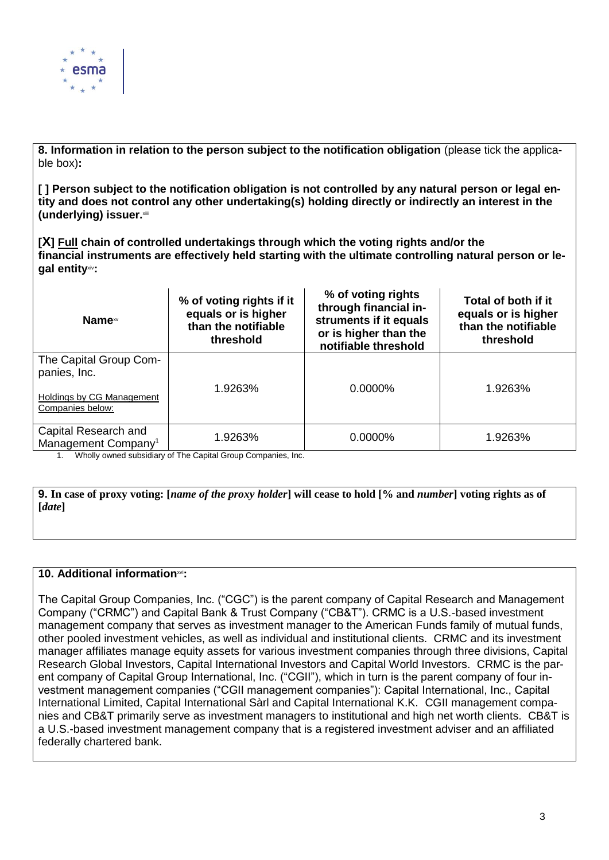

**8. Information in relation to the person subject to the notification obligation** (please tick the applicable box)**:**

**[ ] Person subject to the notification obligation is not controlled by any natural person or legal entity and does not control any other undertaking(s) holding directly or indirectly an interest in the (underlying) issuer.**xiii

**[X] Full chain of controlled undertakings through which the voting rights and/or the financial instruments are effectively held starting with the ultimate controlling natural person or legal entity**xiv**:**

| Name <sup>xv</sup>                                                                      | % of voting rights if it<br>equals or is higher<br>than the notifiable<br>threshold | % of voting rights<br>through financial in-<br>struments if it equals<br>or is higher than the<br>notifiable threshold | Total of both if it<br>equals or is higher<br>than the notifiable<br>threshold |
|-----------------------------------------------------------------------------------------|-------------------------------------------------------------------------------------|------------------------------------------------------------------------------------------------------------------------|--------------------------------------------------------------------------------|
| The Capital Group Com-<br>panies, Inc.<br>Holdings by CG Management<br>Companies below: | 1.9263%                                                                             | 0.0000%                                                                                                                | 1.9263%                                                                        |
| Capital Research and<br>Management Company <sup>1</sup>                                 | 1.9263%                                                                             | 0.0000%                                                                                                                | 1.9263%                                                                        |

1. Wholly owned subsidiary of The Capital Group Companies, Inc.

**9. In case of proxy voting: [***name of the proxy holder***] will cease to hold [% and** *number***] voting rights as of [***date***]**

#### **10. Additional information**xvi**:**

The Capital Group Companies, Inc. ("CGC") is the parent company of Capital Research and Management Company ("CRMC") and Capital Bank & Trust Company ("CB&T"). CRMC is a U.S.-based investment management company that serves as investment manager to the American Funds family of mutual funds, other pooled investment vehicles, as well as individual and institutional clients. CRMC and its investment manager affiliates manage equity assets for various investment companies through three divisions, Capital Research Global Investors, Capital International Investors and Capital World Investors. CRMC is the parent company of Capital Group International, Inc. ("CGII"), which in turn is the parent company of four investment management companies ("CGII management companies"): Capital International, Inc., Capital International Limited, Capital International Sàrl and Capital International K.K. CGII management companies and CB&T primarily serve as investment managers to institutional and high net worth clients. CB&T is a U.S.-based investment management company that is a registered investment adviser and an affiliated federally chartered bank.